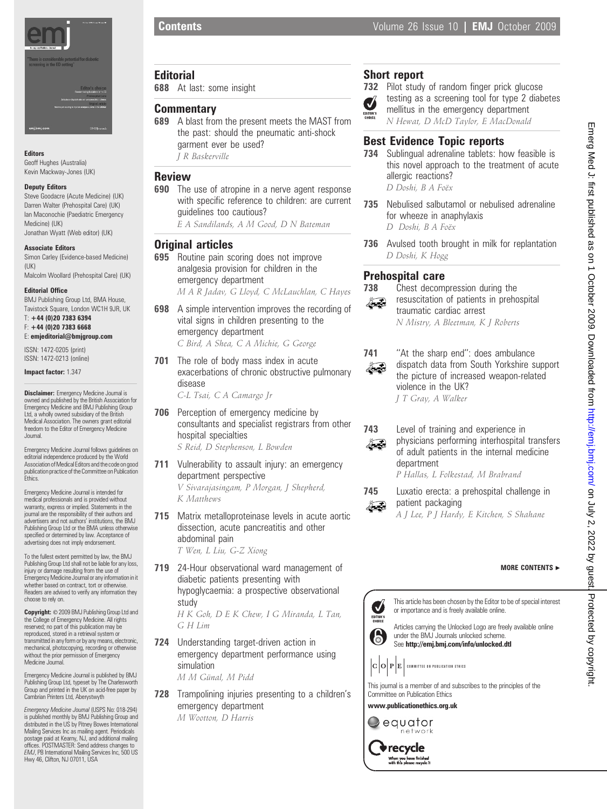

Editors

Geoff Hughes (Australia) Kevin Mackway-Jones (UK)

#### Deputy Editors

Steve Goodacre (Acute Medicine) (UK) Darren Walter (Prehospital Care) (UK) Ian Maconochie (Paediatric Emergency Medicine) (UK) Jonathan Wyatt (Web editor) (UK)

#### Associate Editors

Simon Carley (Evidence-based Medicine) (UK) Malcolm Woollard (Prehospital Care) (UK)

#### Editorial Office

BMJ Publishing Group Ltd, BMA House, Tavistock Square, London WC1H 9JR, UK

T: +44 (0)20 7383 6394 F: +44 (0)20 7383 6668 E: emjeditorial@bmjgroup.com

ISSN: 1472-0205 (print) ISSN: 1472-0213 (online)

Impact factor: 1.347

Disclaimer: Emergency Medicine Journal is owned and published by the British Association for Emergency Medicine and BMJ Publishing Group Ltd, a wholly owned subsidiary of the British Medical Association. The owners grant editorial freedom to the Editor of Emergency Medicine Journal.

Emergency Medicine Journal follows guidelines on editorial independence produced by the World Association of Medical Editors and the code on good publication practice of the Committee on Publication<br>Ethics.

Emergency Medicine Journal is intended for medical professionals and is provided without warranty, express or implied. Statements in the journal are the responsibility of their authors and advertisers and not authors' institutions, the BMJ Publishing Group Ltd or the BMA unless otherwise specified or determined by law. Acceptance of advertising does not imply endorsement.

To the fullest extent permitted by law, the BMJ Publishing Group Ltd shall not be liable for any loss, injury or damage resulting from the use of Emergency Medicine Journal or any information in it whether based on contract, tort or otherwise. Readers are advised to verify any information they choose to rely on.

Copyright: © 2009 BMJ Publishing Group Ltd and the College of Emergency Medicine. All rights reserved; no part of this publication may be reproduced, stored in a retrieval system or transmitted in any form or by any means, electronic, mechanical, photocopying, recording or otherwise without the prior permission of Emergency Medicine Journal

Emergency Medicine Journal is published by BMJ Publishing Group Ltd, typeset by The Charlesworth Group and printed in the UK on acid-free paper by Cambrian Printers Ltd, Aberystwyth

Emergency Medicine Journal (USPS No: 018-294) is published monthly by BMJ Publishing Group and distributed in the US by Pitney Bowes International Mailing Services Inc as mailing agent. Periodicals postage paid at Kearny, NJ, and additional mailing offices. POSTMASTER: Send address changes to EMJ, PB International Mailing Services Inc, 500 US Hwy 46, Clifton, NJ 07011, USA

# **Editorial**

688 At last: some insight

## **Commentary**

689 A blast from the present meets the MAST from the past: should the pneumatic anti-shock garment ever be used? J R Baskerville

### Review

**690** The use of atropine in a nerve agent response with specific reference to children: are current guidelines too cautious?

E A Sandilands, A M Good, D N Bateman

# **Original articles**

- 695 Routine pain scoring does not improve analgesia provision for children in the emergency department M A R Jadav, G Lloyd, C McLauchlan, C Hayes
- **698** A simple intervention improves the recording of vital signs in children presenting to the emergency department C Bird, A Shea, C A Michie, G George
- 701 The role of body mass index in acute exacerbations of chronic obstructive pulmonary disease

C-L Tsai, C A Camargo Jr

- **706** Perception of emergency medicine by consultants and specialist registrars from other hospital specialties S Reid, D Stephenson, L Bowden
- 711 Vulnerability to assault injury: an emergency department perspective V Sivarajasingam, P Morgan, J Shepherd, K Matthews
- 715 Matrix metalloproteinase levels in acute aortic dissection, acute pancreatitis and other abdominal pain

T Wen, L Liu, G-Z Xiong

719 24-Hour observational ward management of diabetic patients presenting with hypoglycaemia: a prospective observational study

> H K Goh, D E K Chew, I G Miranda, L Tan, G H Lim

724 Understanding target-driven action in emergency department performance using simulation

M M Günal, M Pidd

728 Trampolining injuries presenting to a children's emergency department M Wootton, D Harris

# Short report

732 Pilot study of random finger prick glucose testing as a screening tool for type 2 diabetes Ø mellitus in the emergency department N Hewat, D McD Taylor, E MacDonald

# Best Evidence Topic reports

- 734 Sublingual adrenaline tablets: how feasible is this novel approach to the treatment of acute allergic reactions? D Doshi, B A Foëx
- 735 Nebulised salbutamol or nebulised adrenaline for wheeze in anaphylaxis D Doshi, B A Foëx
- 736 Avulsed tooth brought in milk for replantation D Doshi, K Hogg

# Prehospital care



**738** Chest decompression during the resuscitation of patients in prehospital traumatic cardiac arrest N Mistry, A Bleetman, K J Roberts



741 "At the sharp end": does ambulance dispatch data from South Yorkshire support the picture of increased weapon-related violence in the UK? J T Gray, A Walker



743 Level of training and experience in physicians performing interhospital transfers of adult patients in the internal medicine department P Hallas, L Folkestad, M Brabrand

745 Luxatio erecta: a prehospital challenge in patient packaging Ã.

A J Lee, P J Hardy, E Kitchen, S Shahane

### MORE CONTENTS  $\blacktriangleright$



This article has been chosen by the Editor to be of special interest or importance and is freely available online.

Articles carrying the Unlocked Logo are freely available online under the BMJ Journals unlocked scheme. See http://emj.bmj.com/info/unlocked.dtl

 $|\mathbf{C}\big|\mathbf{O}\big|\mathbf{P}\big|\mathbf{E}\big|$  committee on publication ethics

This journal is a member of and subscribes to the principles of the Committee on Publication Ethics

www.publicationethics.org.uk